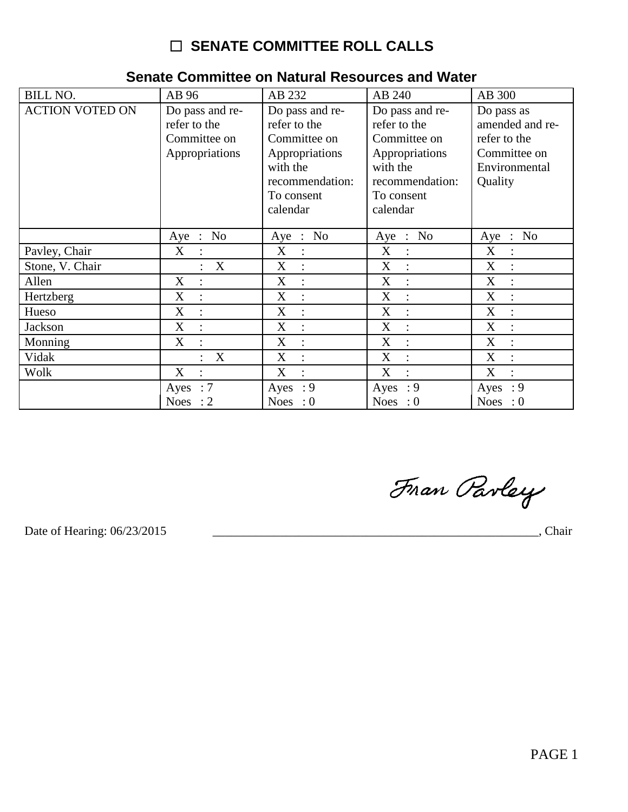| <b>BILL NO.</b>        | AB 96                                                             | AB 232                                                                                                                     | AB 240                                                                                                                     | AB 300                                                                                    |
|------------------------|-------------------------------------------------------------------|----------------------------------------------------------------------------------------------------------------------------|----------------------------------------------------------------------------------------------------------------------------|-------------------------------------------------------------------------------------------|
| <b>ACTION VOTED ON</b> | Do pass and re-<br>refer to the<br>Committee on<br>Appropriations | Do pass and re-<br>refer to the<br>Committee on<br>Appropriations<br>with the<br>recommendation:<br>To consent<br>calendar | Do pass and re-<br>refer to the<br>Committee on<br>Appropriations<br>with the<br>recommendation:<br>To consent<br>calendar | Do pass as<br>amended and re-<br>refer to the<br>Committee on<br>Environmental<br>Quality |
|                        | N <sub>0</sub><br>Aye<br>$\cdot$ :                                | $\therefore$ No<br>Aye                                                                                                     | $\therefore$ No<br>Aye                                                                                                     | N <sub>0</sub><br>Aye<br>$\ddot{\cdot}$                                                   |
| Pavley, Chair          | X<br>$\ddot{\cdot}$                                               | X<br>$\ddot{\cdot}$                                                                                                        | X<br>$\ddot{\cdot}$                                                                                                        | X<br>$\ddot{\cdot}$                                                                       |
| Stone, V. Chair        | X                                                                 | X                                                                                                                          | X<br>$\ddot{\cdot}$                                                                                                        | X                                                                                         |
| Allen                  | X<br>$\ddot{\cdot}$                                               | X<br>$\ddot{\cdot}$                                                                                                        | X<br>$\ddot{\cdot}$                                                                                                        | $\mathbf{X}$                                                                              |
| Hertzberg              | X<br>$\ddot{\cdot}$                                               | X<br>$\ddot{\cdot}$                                                                                                        | X<br>$\ddot{\cdot}$                                                                                                        | X                                                                                         |
| Hueso                  | X<br>$\ddot{ }$                                                   | X<br>$\ddot{\cdot}$                                                                                                        | X<br>$\ddot{\cdot}$                                                                                                        | X<br>$\ddot{\cdot}$                                                                       |
| Jackson                | X<br>$\ddot{\cdot}$                                               | X<br>$\ddot{\cdot}$                                                                                                        | X<br>$\ddot{\cdot}$                                                                                                        | X<br>$\ddot{\phantom{a}}$                                                                 |
| Monning                | X<br>$\ddot{\cdot}$                                               | X<br>$\ddot{\cdot}$                                                                                                        | X<br>$\ddot{\cdot}$                                                                                                        | X<br>$\ddot{\cdot}$                                                                       |
| Vidak                  | X                                                                 | X<br>$\ddot{\cdot}$                                                                                                        | X<br>$\ddot{\cdot}$                                                                                                        | X<br>$\cdot$                                                                              |
| Wolk                   | X<br>$\ddot{\cdot}$                                               | X<br>$\ddot{\cdot}$                                                                                                        | X<br>$\ddot{\cdot}$                                                                                                        | X<br>$\ddot{\cdot}$                                                                       |
|                        | Ayes : $7$                                                        | Ayes : $9$                                                                                                                 | Ayes : $9$                                                                                                                 | Ayes : $9$                                                                                |
|                        | <b>Noes</b><br>$\cdot$ 2                                          | Noes : $0$                                                                                                                 | Noes : $0$                                                                                                                 | Noes : $0$                                                                                |

### Senate Committee on Natural Resources and Water

Fran Parley

Date of Hearing: 06/23/2015

Chair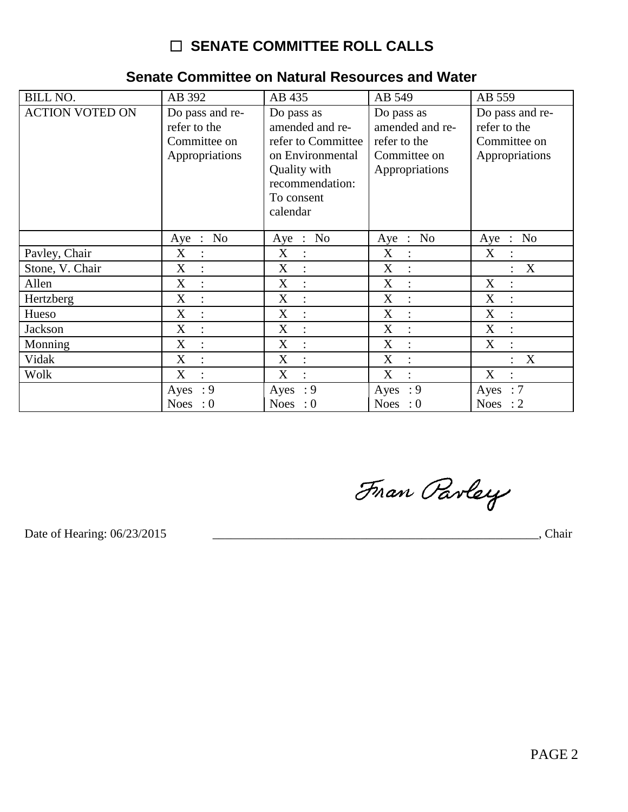| <b>BILL NO.</b>        | AB 392                                                            | AB 435                                                                                                                               | AB 549                                                                          | AB 559                                                            |
|------------------------|-------------------------------------------------------------------|--------------------------------------------------------------------------------------------------------------------------------------|---------------------------------------------------------------------------------|-------------------------------------------------------------------|
| <b>ACTION VOTED ON</b> | Do pass and re-<br>refer to the<br>Committee on<br>Appropriations | Do pass as<br>amended and re-<br>refer to Committee<br>on Environmental<br>Quality with<br>recommendation:<br>To consent<br>calendar | Do pass as<br>amended and re-<br>refer to the<br>Committee on<br>Appropriations | Do pass and re-<br>refer to the<br>Committee on<br>Appropriations |
|                        | Aye : No                                                          | Aye : No                                                                                                                             | N <sub>0</sub><br>Aye<br>$\sim$                                                 | $\therefore$ No<br>Aye                                            |
| Pavley, Chair          | X<br>$\therefore$                                                 | $\boldsymbol{\mathrm{X}}$<br>$\ddot{\cdot}$                                                                                          | X<br>$\ddot{\cdot}$                                                             | X<br>$\ddot{\cdot}$                                               |
| Stone, V. Chair        | X                                                                 | X                                                                                                                                    | $\boldsymbol{\mathrm{X}}$                                                       | X                                                                 |
| Allen                  | X<br>$\ddot{\cdot}$                                               | X<br>$\ddot{\cdot}$                                                                                                                  | X<br>$\ddot{\phantom{a}}$                                                       | X<br>$\ddot{\cdot}$                                               |
| Hertzberg              | X                                                                 | X                                                                                                                                    | X                                                                               | X                                                                 |
| Hueso                  | X<br>$\ddot{\cdot}$                                               | X<br>$\ddot{\cdot}$                                                                                                                  | X<br>$\ddot{\cdot}$                                                             | X<br>$\ddot{\cdot}$                                               |
| Jackson                | X                                                                 | X<br>$\ddot{\cdot}$                                                                                                                  | X                                                                               | X                                                                 |
| Monning                | X<br>$\ddot{\cdot}$                                               | $\boldsymbol{\mathrm{X}}$<br>$\ddot{\cdot}$                                                                                          | X<br>$\ddot{\phantom{a}}$                                                       | X<br>$\ddot{\cdot}$                                               |
| Vidak                  | X                                                                 | X<br>$\ddot{\cdot}$                                                                                                                  | X                                                                               | X                                                                 |
| Wolk                   | X<br>$\ddot{\cdot}$                                               | X<br>$\ddot{\cdot}$                                                                                                                  | X<br>$\ddot{\phantom{a}}$                                                       | X<br>$\ddot{\cdot}$                                               |
|                        | : 9<br>Ayes                                                       | $\cdot$ 9<br>Ayes                                                                                                                    | : 9<br>Ayes                                                                     | Ayes<br>$\therefore 7$                                            |
|                        | Noes : $0$                                                        | Noes : $0$                                                                                                                           | Noes : $0$                                                                      | Noes : $2$                                                        |

#### Senate Committee on Natural Resources and Water

Fran Parley

Date of Hearing: 06/23/2015

Chair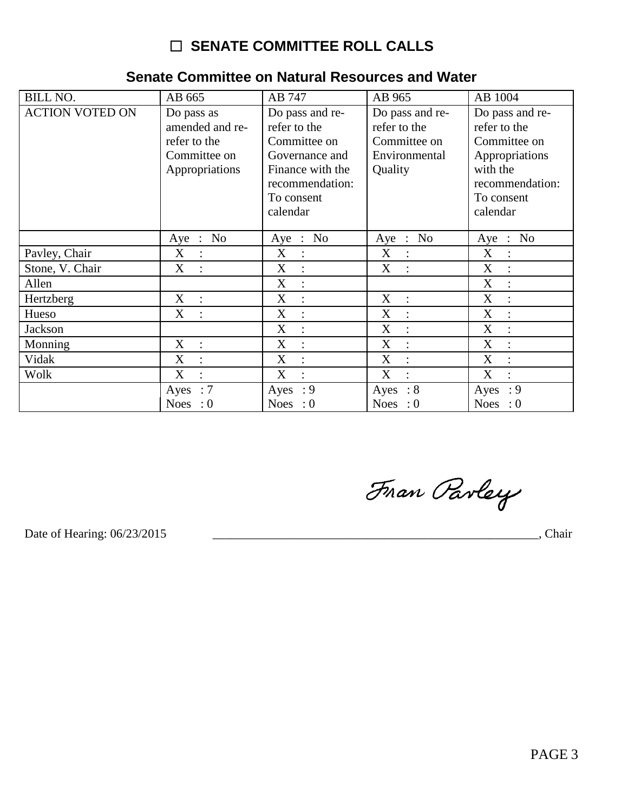| <b>BILL NO.</b>        | AB 665                                                                          | AB 747                                                                                                                             | AB 965                                                                      | AB 1004                                                                                                                    |
|------------------------|---------------------------------------------------------------------------------|------------------------------------------------------------------------------------------------------------------------------------|-----------------------------------------------------------------------------|----------------------------------------------------------------------------------------------------------------------------|
| <b>ACTION VOTED ON</b> | Do pass as<br>amended and re-<br>refer to the<br>Committee on<br>Appropriations | Do pass and re-<br>refer to the<br>Committee on<br>Governance and<br>Finance with the<br>recommendation:<br>To consent<br>calendar | Do pass and re-<br>refer to the<br>Committee on<br>Environmental<br>Quality | Do pass and re-<br>refer to the<br>Committee on<br>Appropriations<br>with the<br>recommendation:<br>To consent<br>calendar |
|                        | Aye : No                                                                        | Aye : No                                                                                                                           | Aye : No                                                                    | Aye : No                                                                                                                   |
| Pavley, Chair          | X<br>$\mathbb{R}^2$                                                             | X<br>$\ddot{\cdot}$                                                                                                                | X<br>$\ddot{\cdot}$                                                         | X<br>$\ddot{\cdot}$                                                                                                        |
| Stone, V. Chair        | X<br>$\ddot{\cdot}$                                                             | X<br>$\ddot{\cdot}$                                                                                                                | X<br>$\ddot{\cdot}$                                                         | X<br>$\ddot{\cdot}$                                                                                                        |
| Allen                  |                                                                                 | X<br>$\ddot{\cdot}$                                                                                                                |                                                                             | X<br>$\cdot$                                                                                                               |
| Hertzberg              | X<br>$\ddot{\cdot}$                                                             | X                                                                                                                                  | X<br>$\ddot{\cdot}$                                                         | X                                                                                                                          |
| Hueso                  | X<br>$\mathbf{r}$                                                               | X<br>$\ddot{\cdot}$                                                                                                                | X<br>$\ddot{\cdot}$                                                         | X<br>$\ddot{\cdot}$                                                                                                        |
| <b>Jackson</b>         |                                                                                 | X<br>$\ddot{\cdot}$                                                                                                                | X<br>$\ddot{\cdot}$                                                         | X                                                                                                                          |
| Monning                | X<br>$\mathbb{R}^2$                                                             | X<br>$\ddot{\cdot}$                                                                                                                | X<br>$\ddot{\cdot}$                                                         | X<br>$\ddot{\cdot}$                                                                                                        |
| Vidak                  | X<br>$\ddot{\cdot}$                                                             | X<br>$\ddot{\cdot}$                                                                                                                | X<br>$\ddot{\cdot}$                                                         | X<br>$\ddot{\cdot}$                                                                                                        |
| Wolk                   | X<br>$\ddot{\cdot}$                                                             | X<br>$\ddot{\cdot}$                                                                                                                | X<br>$\ddot{\cdot}$                                                         | X<br>$\ddot{\cdot}$                                                                                                        |
|                        | Ayes : $7$                                                                      | Ayes : $9$                                                                                                                         | Ayes<br>$\therefore 8$                                                      | Ayes : $9$                                                                                                                 |
|                        | Noes : $0$                                                                      | <b>Noes</b><br>$\therefore 0$                                                                                                      | $\cdot 0$<br><b>Noes</b>                                                    | Noes : $0$                                                                                                                 |

#### Senate Committee on Natural Resources and Water

Fran Parley

Date of Hearing: 06/23/2015

Chair and the contract of the contract of the contract of the contract of the contract of the contract of the contract of the contract of the contract of the contract of the contract of the contract of the contract of the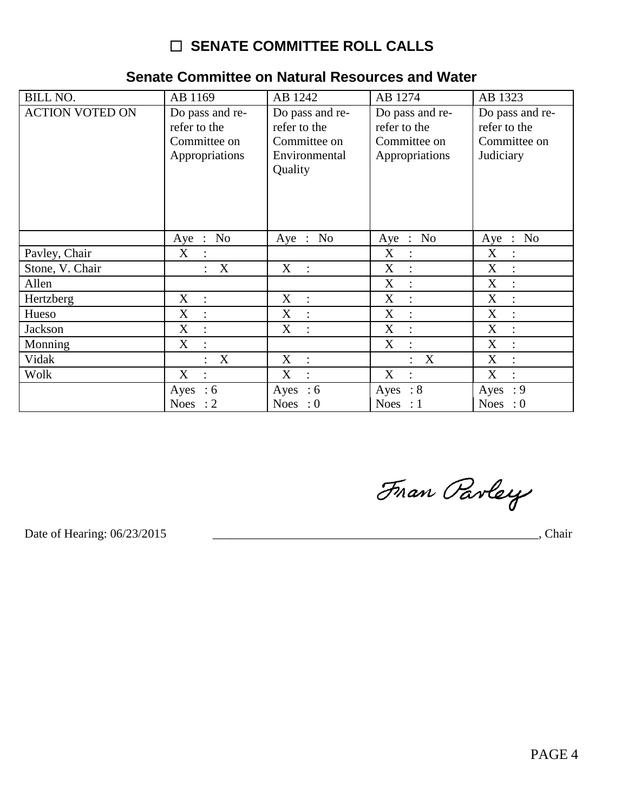| <b>BILL NO.</b>        | AB 1169                       | AB 1242                   | AB 1274             | AB 1323                                           |
|------------------------|-------------------------------|---------------------------|---------------------|---------------------------------------------------|
|                        |                               |                           |                     |                                                   |
| <b>ACTION VOTED ON</b> | Do pass and re-               | Do pass and re-           | Do pass and re-     | Do pass and re-                                   |
|                        | refer to the                  | refer to the              | refer to the        | refer to the                                      |
|                        | Committee on                  | Committee on              | Committee on        | Committee on                                      |
|                        | Appropriations                | Environmental             | Appropriations      | Judiciary                                         |
|                        |                               | Quality                   |                     |                                                   |
|                        |                               |                           |                     |                                                   |
|                        |                               |                           |                     |                                                   |
|                        |                               |                           |                     |                                                   |
|                        |                               |                           |                     |                                                   |
|                        | No<br>Aye :                   | Aye : No                  | No<br>Aye :         | N <sub>o</sub><br>Aye :                           |
| Pavley, Chair          | X<br>$\ddot{\cdot}$           |                           | X<br>$\ddot{\cdot}$ | $\boldsymbol{X}$<br>$\ddot{\cdot}$                |
| Stone, V. Chair        | $\mathbf X$<br>$\ddot{\cdot}$ | X<br>$\ddot{\phantom{a}}$ | X<br>$\ddot{\cdot}$ | $\boldsymbol{\mathrm{X}}$<br>$\ddot{\phantom{a}}$ |
| Allen                  |                               |                           | X<br>$\ddot{\cdot}$ | $\mathbf X$<br>$\ddot{\cdot}$                     |
| Hertzberg              | X<br>$\ddot{\cdot}$           | X<br>$\ddot{\phantom{a}}$ | X                   | $\boldsymbol{\mathrm{X}}$<br>$\ddot{\cdot}$       |
| Hueso                  | X<br>$\ddot{\cdot}$           | X<br>$\ddot{ }$           | X                   | $\mathbf X$<br>$\ddot{\cdot}$                     |
| Jackson                | X<br>$\ddot{\cdot}$           | X<br>$\ddot{\cdot}$       | $\boldsymbol{X}$    | $\boldsymbol{\mathrm{X}}$<br>$\ddot{\cdot}$       |
| Monning                | X                             |                           | X                   | X<br>$\ddot{\cdot}$                               |
| Vidak                  | X                             | X                         | X                   | X                                                 |
| Wolk                   | X<br>$\ddot{\cdot}$           | X<br>$\overline{\cdot}$   | X                   | X<br>÷                                            |
|                        | Ayes<br>:6                    | Ayes<br>:6                | : 8<br>Ayes         | $\cdot$ 9<br>Ayes                                 |
|                        | Noes : $2$                    | Noes : $0$                | Noes : 1            | Noes : $0$                                        |

#### Senate Committee on Natural Resources and Water

Fran Parley

Date of Hearing: 06/23/2015

**Example 2018**, Chair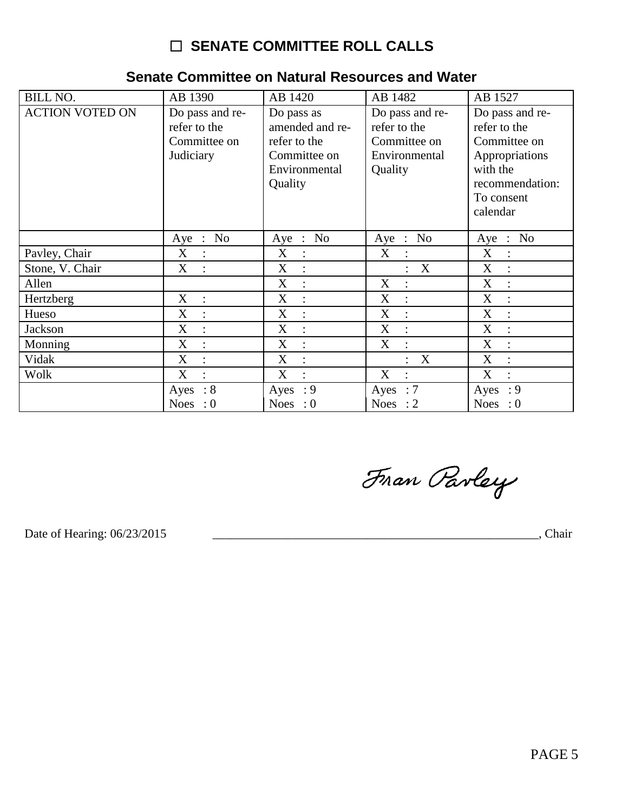| <b>BILL NO.</b>        | AB 1390                                                      | AB 1420                                                                                   | AB 1482                                                                     | AB 1527                                                                                                                    |
|------------------------|--------------------------------------------------------------|-------------------------------------------------------------------------------------------|-----------------------------------------------------------------------------|----------------------------------------------------------------------------------------------------------------------------|
| <b>ACTION VOTED ON</b> | Do pass and re-<br>refer to the<br>Committee on<br>Judiciary | Do pass as<br>amended and re-<br>refer to the<br>Committee on<br>Environmental<br>Quality | Do pass and re-<br>refer to the<br>Committee on<br>Environmental<br>Quality | Do pass and re-<br>refer to the<br>Committee on<br>Appropriations<br>with the<br>recommendation:<br>To consent<br>calendar |
|                        | No<br>Aye :                                                  | $\therefore$ No<br>Aye                                                                    | $\therefore$ No<br>Aye                                                      | Aye : No                                                                                                                   |
| Pavley, Chair          | X                                                            | X                                                                                         | X                                                                           | X                                                                                                                          |
|                        | $\ddot{\cdot}$                                               | $\ddot{\cdot}$                                                                            | $\ddot{\cdot}$                                                              | $\ddot{\cdot}$                                                                                                             |
| Stone, V. Chair        | X<br>$\ddot{\cdot}$                                          | X<br>$\ddot{\cdot}$                                                                       | X<br>$\ddot{\cdot}$                                                         | X                                                                                                                          |
| Allen                  |                                                              | X<br>$\ddot{\cdot}$                                                                       | X<br>$\ddot{\cdot}$                                                         | X<br>$\ddot{\cdot}$                                                                                                        |
| Hertzberg              | X                                                            | X                                                                                         | X                                                                           | X                                                                                                                          |
|                        | $\ddot{\cdot}$                                               | $\ddot{\cdot}$                                                                            | $\ddot{\cdot}$                                                              | $\ddot{\cdot}$                                                                                                             |
| Hueso                  | X                                                            | X                                                                                         | X                                                                           | X                                                                                                                          |
|                        | $\ddot{\cdot}$                                               | $\ddot{\cdot}$                                                                            | $\ddot{\cdot}$                                                              | $\ddot{\phantom{1}}$ :                                                                                                     |
| Jackson                | X                                                            | X                                                                                         | X                                                                           | X                                                                                                                          |
|                        | $\ddot{\cdot}$                                               | $\ddot{\cdot}$                                                                            | $\ddot{\cdot}$                                                              | $\ddot{\cdot}$                                                                                                             |
| Monning                | X                                                            | X                                                                                         | X                                                                           | X                                                                                                                          |
|                        | $\ddot{\phantom{a}}$                                         | $\ddot{\cdot}$                                                                            | $\ddot{\cdot}$                                                              | $\ddot{\cdot}$                                                                                                             |
| Vidak                  | X                                                            | X                                                                                         | X                                                                           | X                                                                                                                          |
|                        | $\ddot{\cdot}$                                               | $\ddot{\cdot}$                                                                            | $\bullet$                                                                   | $\ddot{\cdot}$                                                                                                             |
| Wolk                   | X                                                            | X                                                                                         | X                                                                           | X                                                                                                                          |
|                        | $\ddot{\cdot}$                                               | $\ddot{\cdot}$                                                                            | $\ddot{\cdot}$                                                              | $\ddot{\cdot}$                                                                                                             |
|                        | $\therefore 8$<br>Ayes                                       | Ayes : $9$                                                                                | Ayes : $7$                                                                  | Ayes : $9$                                                                                                                 |
|                        | <b>Noes</b><br>$\therefore 0$                                | Noes : $0$                                                                                | <b>Noes</b><br>$\therefore$ 2                                               | Noes : $0$                                                                                                                 |

### Senate Committee on Natural Resources and Water

Fran Parley

Date of Hearing: 06/23/2015

**Example 2018**, Chair